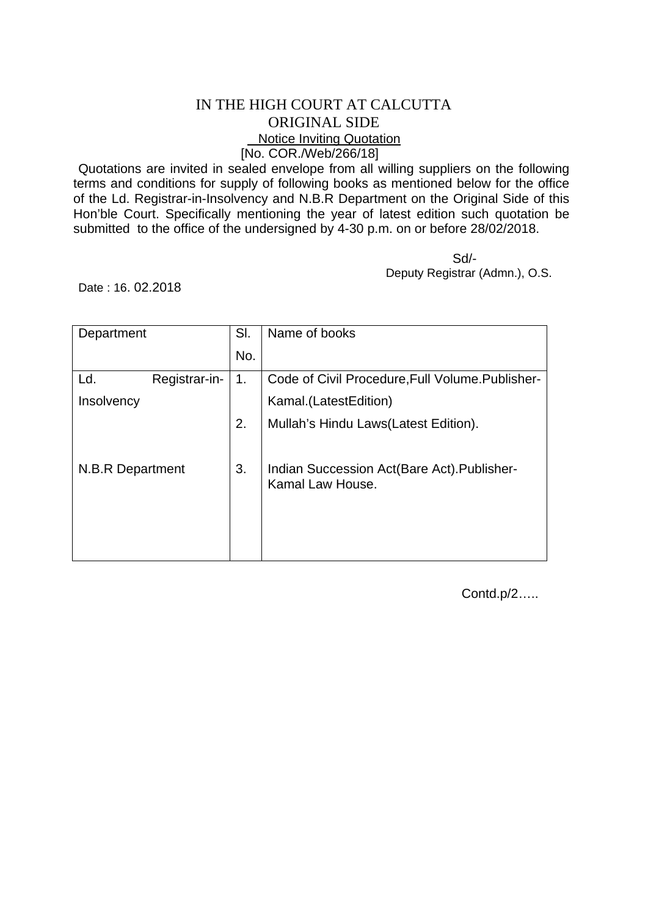## IN THE HIGH COURT AT CALCUTTA ORIGINAL SIDE Notice Inviting Quotation [No. COR./Web/266/18]

Quotations are invited in sealed envelope from all willing suppliers on the following terms and conditions for supply of following books as mentioned below for the office of the Ld. Registrar-in-Insolvency and N.B.R Department on the Original Side of this Hon'ble Court. Specifically mentioning the year of latest edition such quotation be submitted to the office of the undersigned by 4-30 p.m. on or before 28/02/2018.

 Sd/- Deputy Registrar (Admn.), O.S.

Date : 16. 02.2018

| Department       |               | SI. | Name of books                                                    |
|------------------|---------------|-----|------------------------------------------------------------------|
|                  |               | No. |                                                                  |
| Ld.              | Registrar-in- | 1.  | Code of Civil Procedure, Full Volume. Publisher-                 |
| Insolvency       |               |     | Kamal.(LatestEdition)                                            |
|                  |               | 2.  | Mullah's Hindu Laws(Latest Edition).                             |
| N.B.R Department |               | 3.  | Indian Succession Act (Bare Act). Publisher-<br>Kamal Law House. |

Contd.p/2…..